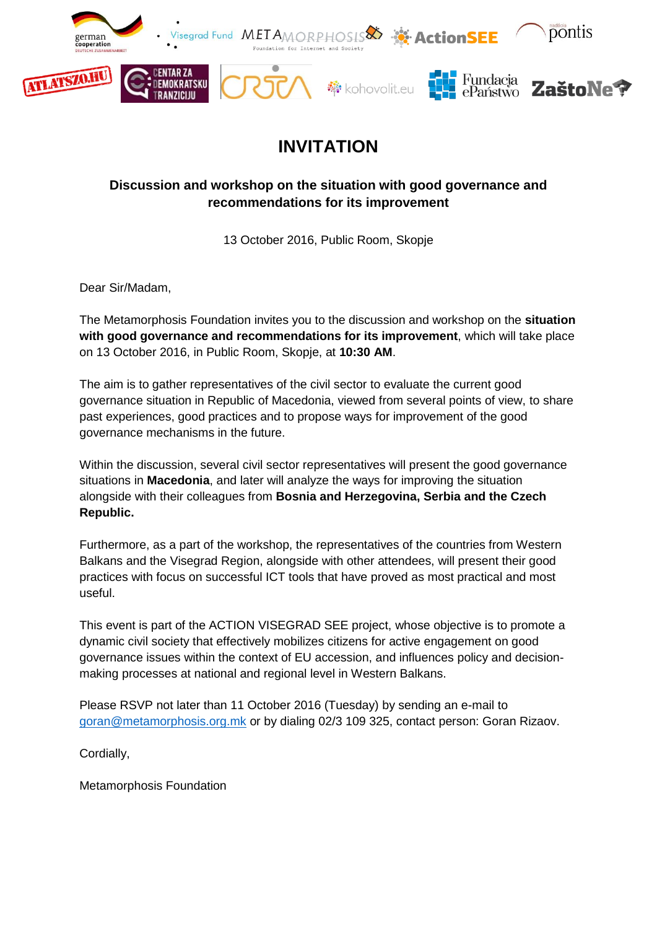

## **INVITATION**

## **Discussion and workshop on the situation with good governance and recommendations for its improvement**

13 October 2016, Public Room, Skopje

Dear Sir/Madam,

The Metamorphosis Foundation invites you to the discussion and workshop on the **situation with good governance and recommendations for its improvement**, which will take place on 13 October 2016, in Public Room, Skopje, at **10:30 AM**.

The aim is to gather representatives of the civil sector to evaluate the current good governance situation in Republic of Macedonia, viewed from several points of view, to share past experiences, good practices and to propose ways for improvement of the good governance mechanisms in the future.

Within the discussion, several civil sector representatives will present the good governance situations in **Macedonia**, and later will analyze the ways for improving the situation alongside with their colleagues from **Bosnia and Herzegovina, Serbia and the Czech Republic.**

Furthermore, as a part of the workshop, the representatives of the countries from Western Balkans and the Visegrad Region, alongside with other attendees, will present their good practices with focus on successful ICT tools that have proved as most practical and most useful.

This event is part of the ACTION VISEGRAD SEE project, whose objective is to promote a dynamic civil society that effectively mobilizes citizens for active engagement on good governance issues within the context of EU accession, and influences policy and decisionmaking processes at national and regional level in Western Balkans.

Please RSVP not later than 11 October 2016 (Tuesday) by sending an e-mail to [goran@metamorphosis.org.mk](mailto:goran@metamorphosis.org.mk) or by dialing 02/3 109 325, contact person: Goran Rizaov.

Cordially,

Metamorphosis Foundation